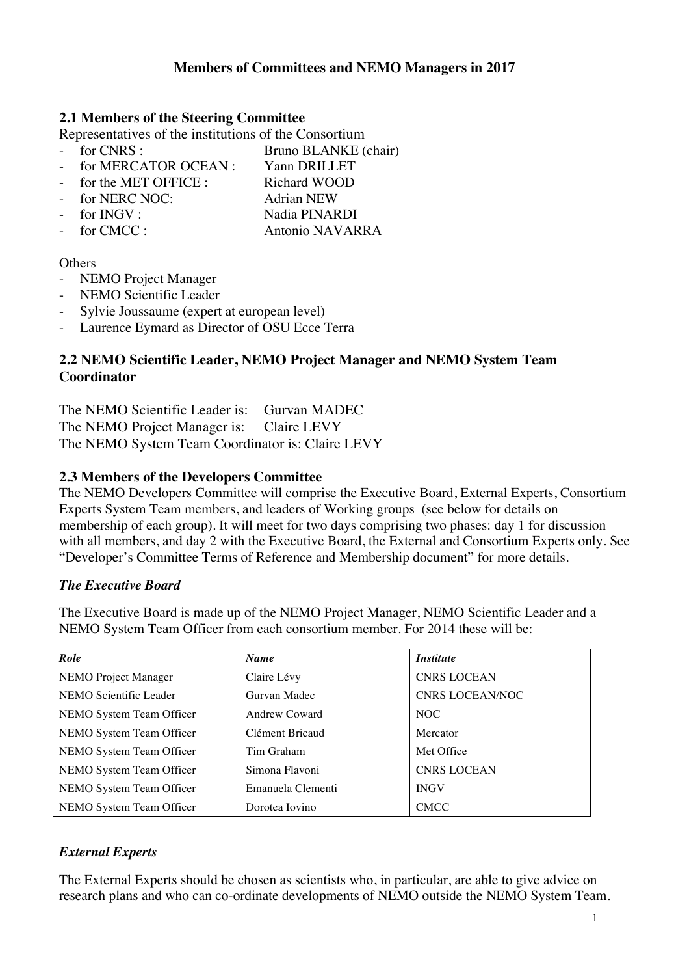# **Members of Committees and NEMO Managers in 2017**

#### **2.1 Members of the Steering Committee**

Representatives of the institutions of the Consortium<br>France Representatives of the Consortium<br>Representatives of the Consortium<br>Representatives of the Consortium

- Bruno BLANKE (chair)
- for MERCATOR OCEAN : Yann DRILLET
- for the MET OFFICE : Richard WOOD
- for NERC NOC: Adrian NEW
- 
- for CMCC : Antonio NAVARRA

for INGV : Nadia PINARDI

#### **Others**

- NEMO Project Manager
- NEMO Scientific Leader
- Sylvie Joussaume (expert at european level)
- Laurence Eymard as Director of OSU Ecce Terra

## **2.2 NEMO Scientific Leader, NEMO Project Manager and NEMO System Team Coordinator**

The NEMO Scientific Leader is: Gurvan MADEC The NEMO Project Manager is: Claire LEVY The NEMO System Team Coordinator is: Claire LEVY

### **2.3 Members of the Developers Committee**

The NEMO Developers Committee will comprise the Executive Board, External Experts, Consortium Experts System Team members, and leaders of Working groups (see below for details on membership of each group). It will meet for two days comprising two phases: day 1 for discussion with all members, and day 2 with the Executive Board, the External and Consortium Experts only. See "Developer's Committee Terms of Reference and Membership document" for more details.

### *The Executive Board*

The Executive Board is made up of the NEMO Project Manager, NEMO Scientific Leader and a NEMO System Team Officer from each consortium member. For 2014 these will be:

| Role                     | <b>Name</b>          | <i><b>Institute</b></i> |
|--------------------------|----------------------|-------------------------|
| NEMO Project Manager     | Claire Lévy          | <b>CNRS LOCEAN</b>      |
| NEMO Scientific Leader   | Gurvan Madec         | <b>CNRS LOCEAN/NOC</b>  |
| NEMO System Team Officer | <b>Andrew Coward</b> | NOC                     |
| NEMO System Team Officer | Clément Bricaud      | Mercator                |
| NEMO System Team Officer | Tim Graham           | Met Office              |
| NEMO System Team Officer | Simona Flavoni       | <b>CNRS LOCEAN</b>      |
| NEMO System Team Officer | Emanuela Clementi    | <b>INGV</b>             |
| NEMO System Team Officer | Dorotea Iovino       | <b>CMCC</b>             |

### *External Experts*

The External Experts should be chosen as scientists who, in particular, are able to give advice on research plans and who can co-ordinate developments of NEMO outside the NEMO System Team.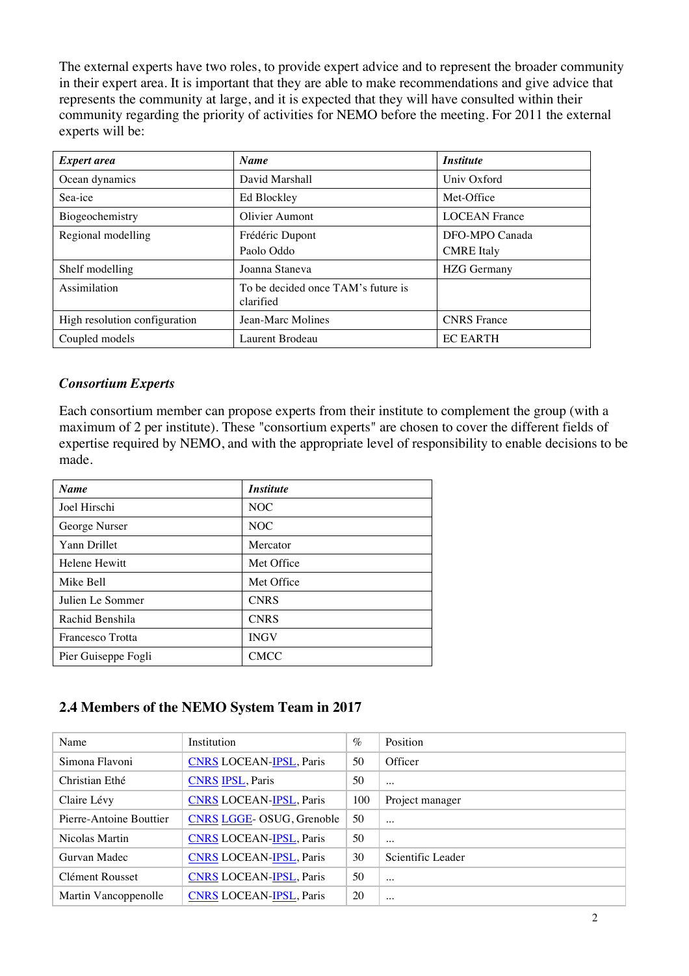The external experts have two roles, to provide expert advice and to represent the broader community in their expert area. It is important that they are able to make recommendations and give advice that represents the community at large, and it is expected that they will have consulted within their community regarding the priority of activities for NEMO before the meeting. For 2011 the external experts will be:

| <b>Expert area</b>            | <b>Name</b>                                     | <i><b>Institute</b></i> |
|-------------------------------|-------------------------------------------------|-------------------------|
| Ocean dynamics                | David Marshall                                  | Univ Oxford             |
| Sea-ice                       | Ed Blockley                                     | Met-Office              |
| Biogeochemistry               | Olivier Aumont                                  | <b>LOCEAN France</b>    |
| Regional modelling            | Frédéric Dupont                                 | DFO-MPO Canada          |
|                               | Paolo Oddo                                      | <b>CMRE</b> Italy       |
| Shelf modelling               | Joanna Staneva                                  | <b>HZG</b> Germany      |
| Assimilation                  | To be decided once TAM's future is<br>clarified |                         |
| High resolution configuration | Jean-Marc Molines                               | <b>CNRS</b> France      |
| Coupled models                | Laurent Brodeau                                 | <b>EC EARTH</b>         |

# *Consortium Experts*

Each consortium member can propose experts from their institute to complement the group (with a maximum of 2 per institute). These "consortium experts" are chosen to cover the different fields of expertise required by NEMO, and with the appropriate level of responsibility to enable decisions to be made.

| <b>Name</b>         | <i><b>Institute</b></i> |
|---------------------|-------------------------|
| Joel Hirschi        | NOC                     |
| George Nurser       | NOC                     |
| <b>Yann Drillet</b> | Mercator                |
| Helene Hewitt       | Met Office              |
| Mike Bell           | Met Office              |
| Julien Le Sommer    | <b>CNRS</b>             |
| Rachid Benshila     | <b>CNRS</b>             |
| Francesco Trotta    | <b>INGV</b>             |
| Pier Guiseppe Fogli | <b>CMCC</b>             |

# **2.4 Members of the NEMO System Team in 2017**

| Name                    | Institution                     | $\%$ | Position          |
|-------------------------|---------------------------------|------|-------------------|
| Simona Flavoni          | <b>CNRS LOCEAN-IPSL, Paris</b>  | 50   | Officer           |
| Christian Ethé          | <b>CNRS IPSL, Paris</b>         | 50   | $\cdots$          |
| Claire Lévy             | <b>CNRS LOCEAN-IPSL, Paris</b>  | 100  | Project manager   |
| Pierre-Antoine Bouttier | <b>CNRS LGGE-OSUG, Grenoble</b> | 50   | $\cdots$          |
| Nicolas Martin          | <b>CNRS LOCEAN-IPSL, Paris</b>  | 50   | $\cdots$          |
| Gurvan Madec            | <b>CNRS LOCEAN-IPSL, Paris</b>  | 30   | Scientific Leader |
| Clément Rousset         | <b>CNRS LOCEAN-IPSL, Paris</b>  | 50   | $\cdots$          |
| Martin Vancoppenolle    | <b>CNRS LOCEAN-IPSL, Paris</b>  | 20   | $\cdots$          |